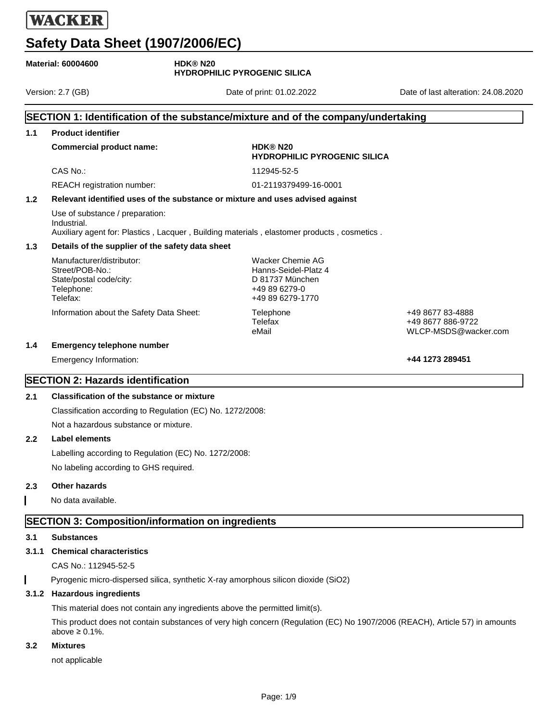| <b>Material: 60004600</b>                                                         |                                                                                                   | <b>HDK®N20</b><br><b>HYDROPHILIC PYROGENIC SILICA</b>                                            |                                                               |  |  |
|-----------------------------------------------------------------------------------|---------------------------------------------------------------------------------------------------|--------------------------------------------------------------------------------------------------|---------------------------------------------------------------|--|--|
|                                                                                   | Version: 2.7 (GB)                                                                                 | Date of print: 01.02.2022                                                                        | Date of last alteration: 24.08.2020                           |  |  |
| SECTION 1: Identification of the substance/mixture and of the company/undertaking |                                                                                                   |                                                                                                  |                                                               |  |  |
| 1.1                                                                               | <b>Product identifier</b>                                                                         |                                                                                                  |                                                               |  |  |
|                                                                                   | <b>Commercial product name:</b>                                                                   | HDK® N20<br><b>HYDROPHILIC PYROGENIC SILICA</b>                                                  |                                                               |  |  |
|                                                                                   | CAS No.:                                                                                          | 112945-52-5                                                                                      |                                                               |  |  |
|                                                                                   | REACH registration number:                                                                        | 01-2119379499-16-0001                                                                            |                                                               |  |  |
| 1.2                                                                               |                                                                                                   | Relevant identified uses of the substance or mixture and uses advised against                    |                                                               |  |  |
|                                                                                   | Use of substance / preparation:<br>Industrial.                                                    | Auxiliary agent for: Plastics, Lacquer, Building materials, elastomer products, cosmetics.       |                                                               |  |  |
| 1.3                                                                               |                                                                                                   | Details of the supplier of the safety data sheet                                                 |                                                               |  |  |
|                                                                                   | Manufacturer/distributor:<br>Street/POB-No.:<br>State/postal code/city:<br>Telephone:<br>Telefax: | Wacker Chemie AG<br>Hanns-Seidel-Platz 4<br>D 81737 München<br>+49 89 6279-0<br>+49 89 6279-1770 |                                                               |  |  |
|                                                                                   | Information about the Safety Data Sheet:                                                          | Telephone<br>Telefax<br>eMail                                                                    | +49 8677 83-4888<br>+49 8677 886-9722<br>WLCP-MSDS@wacker.com |  |  |
| 1.4                                                                               | <b>Emergency telephone number</b>                                                                 |                                                                                                  |                                                               |  |  |
|                                                                                   | Emergency Information:                                                                            |                                                                                                  | +44 1273 289451                                               |  |  |
|                                                                                   | <b>SECTION 2: Hazards identification</b>                                                          |                                                                                                  |                                                               |  |  |
| 2.1                                                                               | <b>Classification of the substance or mixture</b>                                                 |                                                                                                  |                                                               |  |  |
|                                                                                   | Classification according to Regulation (EC) No. 1272/2008:                                        |                                                                                                  |                                                               |  |  |
|                                                                                   | Not a hazardous substance or mixture.                                                             |                                                                                                  |                                                               |  |  |
| $2.2\phantom{0}$                                                                  | Label elements                                                                                    |                                                                                                  |                                                               |  |  |
|                                                                                   | Labelling according to Regulation (EC) No. 1272/2008:                                             |                                                                                                  |                                                               |  |  |
|                                                                                   | No labeling according to GHS required.                                                            |                                                                                                  |                                                               |  |  |

### **2.3 Other hazards**

No data available.

### **SECTION 3: Composition/information on ingredients**

### **3.1 Substances**

### **3.1.1 Chemical characteristics**

CAS No.: 112945-52-5

Pyrogenic micro-dispersed silica, synthetic X-ray amorphous silicon dioxide (SiO2)  $\mathbf I$ 

### **3.1.2 Hazardous ingredients**

This material does not contain any ingredients above the permitted limit(s).

This product does not contain substances of very high concern (Regulation (EC) No 1907/2006 (REACH), Article 57) in amounts above ≥ 0.1%.

### **3.2 Mixtures**

not applicable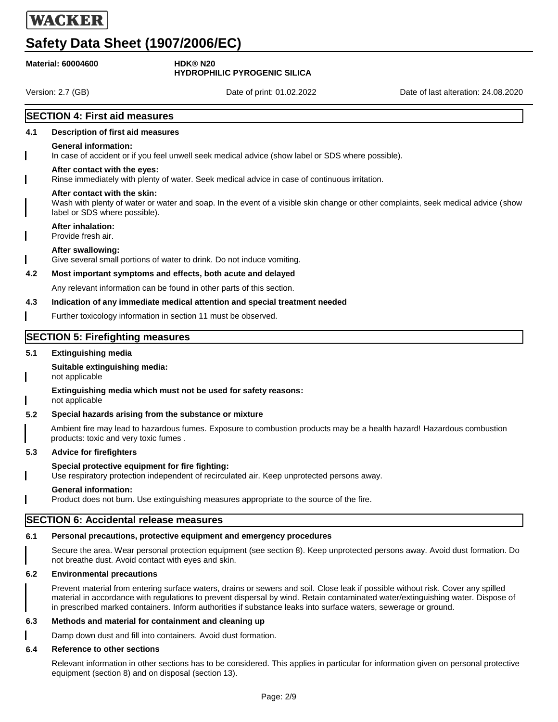# **Safety Data Sheet (1907/2006/EC)**

|                   | <b>Material: 60004600</b>                                     | <b>HDK®N20</b><br><b>HYDROPHILIC PYROGENIC SILICA</b>                                                                                                                                                                                                                                                                                                                                  |                                     |
|-------------------|---------------------------------------------------------------|----------------------------------------------------------------------------------------------------------------------------------------------------------------------------------------------------------------------------------------------------------------------------------------------------------------------------------------------------------------------------------------|-------------------------------------|
| Version: 2.7 (GB) |                                                               | Date of print: 01.02.2022                                                                                                                                                                                                                                                                                                                                                              | Date of last alteration: 24.08.2020 |
|                   | <b>SECTION 4: First aid measures</b>                          |                                                                                                                                                                                                                                                                                                                                                                                        |                                     |
| 4.1               | Description of first aid measures                             |                                                                                                                                                                                                                                                                                                                                                                                        |                                     |
|                   | <b>General information:</b>                                   | In case of accident or if you feel unwell seek medical advice (show label or SDS where possible).                                                                                                                                                                                                                                                                                      |                                     |
|                   | After contact with the eyes:                                  | Rinse immediately with plenty of water. Seek medical advice in case of continuous irritation.                                                                                                                                                                                                                                                                                          |                                     |
|                   | After contact with the skin:<br>label or SDS where possible). | Wash with plenty of water or water and soap. In the event of a visible skin change or other complaints, seek medical advice (show                                                                                                                                                                                                                                                      |                                     |
|                   | <b>After inhalation:</b><br>Provide fresh air.                |                                                                                                                                                                                                                                                                                                                                                                                        |                                     |
|                   | After swallowing:                                             | Give several small portions of water to drink. Do not induce vomiting.                                                                                                                                                                                                                                                                                                                 |                                     |
| 4.2               |                                                               | Most important symptoms and effects, both acute and delayed                                                                                                                                                                                                                                                                                                                            |                                     |
|                   |                                                               | Any relevant information can be found in other parts of this section.                                                                                                                                                                                                                                                                                                                  |                                     |
| 4.3               |                                                               | Indication of any immediate medical attention and special treatment needed                                                                                                                                                                                                                                                                                                             |                                     |
|                   |                                                               | Further toxicology information in section 11 must be observed.                                                                                                                                                                                                                                                                                                                         |                                     |
|                   | <b>SECTION 5: Firefighting measures</b>                       |                                                                                                                                                                                                                                                                                                                                                                                        |                                     |
| 5.1               | <b>Extinguishing media</b>                                    |                                                                                                                                                                                                                                                                                                                                                                                        |                                     |
|                   | Suitable extinguishing media:<br>not applicable               |                                                                                                                                                                                                                                                                                                                                                                                        |                                     |
|                   | not applicable                                                | Extinguishing media which must not be used for safety reasons:                                                                                                                                                                                                                                                                                                                         |                                     |
| 5.2               |                                                               | Special hazards arising from the substance or mixture                                                                                                                                                                                                                                                                                                                                  |                                     |
|                   | products: toxic and very toxic fumes.                         | Ambient fire may lead to hazardous fumes. Exposure to combustion products may be a health hazard! Hazardous combustion                                                                                                                                                                                                                                                                 |                                     |
| 5.3               | <b>Advice for firefighters</b>                                |                                                                                                                                                                                                                                                                                                                                                                                        |                                     |
|                   | Special protective equipment for fire fighting:               | Use respiratory protection independent of recirculated air. Keep unprotected persons away.                                                                                                                                                                                                                                                                                             |                                     |
|                   | <b>General information:</b>                                   | Product does not burn. Use extinguishing measures appropriate to the source of the fire.                                                                                                                                                                                                                                                                                               |                                     |
|                   | <b>SECTION 6: Accidental release measures</b>                 |                                                                                                                                                                                                                                                                                                                                                                                        |                                     |
| 6.1               |                                                               | Personal precautions, protective equipment and emergency procedures                                                                                                                                                                                                                                                                                                                    |                                     |
|                   | not breathe dust. Avoid contact with eyes and skin.           | Secure the area. Wear personal protection equipment (see section 8). Keep unprotected persons away. Avoid dust formation. Do                                                                                                                                                                                                                                                           |                                     |
| 6.2               | <b>Environmental precautions</b>                              |                                                                                                                                                                                                                                                                                                                                                                                        |                                     |
|                   |                                                               | Prevent material from entering surface waters, drains or sewers and soil. Close leak if possible without risk. Cover any spilled<br>material in accordance with regulations to prevent dispersal by wind. Retain contaminated water/extinguishing water. Dispose of<br>in prescribed marked containers. Inform authorities if substance leaks into surface waters, sewerage or ground. |                                     |
| 6.3               |                                                               | Methods and material for containment and cleaning up                                                                                                                                                                                                                                                                                                                                   |                                     |
|                   |                                                               | Damp down dust and fill into containers. Avoid dust formation.                                                                                                                                                                                                                                                                                                                         |                                     |
| 6.4               | <b>Reference to other sections</b>                            |                                                                                                                                                                                                                                                                                                                                                                                        |                                     |

Relevant information in other sections has to be considered. This applies in particular for information given on personal protective equipment (section 8) and on disposal (section 13).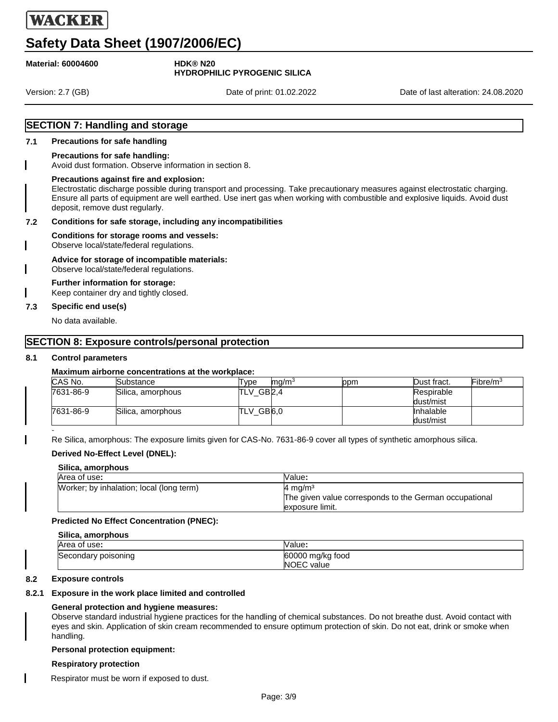# **Safety Data Sheet (1907/2006/EC)**

**Material: 60004600 HDK® N20**

# **HYDROPHILIC PYROGENIC SILICA**

Version: 2.7 (GB) Date of print: 01.02.2022 Date of last alteration: 24.08.2020

### **SECTION 7: Handling and storage**

### **7.1 Precautions for safe handling**

### **Precautions for safe handling:**

Avoid dust formation. Observe information in section 8.

### **Precautions against fire and explosion:**

Electrostatic discharge possible during transport and processing. Take precautionary measures against electrostatic charging. Ensure all parts of equipment are well earthed. Use inert gas when working with combustible and explosive liquids. Avoid dust deposit, remove dust regularly.

### **7.2 Conditions for safe storage, including any incompatibilities**

### **Conditions for storage rooms and vessels:**

Observe local/state/federal regulations.

### **Advice for storage of incompatible materials:**

Observe local/state/federal regulations.

### **Further information for storage:**

Keep container dry and tightly closed.

### **7.3 Specific end use(s)**

No data available.

### **SECTION 8: Exposure controls/personal protection**

### **8.1 Control parameters**

### **Maximum airborne concentrations at the workplace:**

| CAS No.   | Substance         | mq/m <sup>3</sup><br>Tvpe | ppm | Dust fract. | Fibre/m <sup>3</sup> |
|-----------|-------------------|---------------------------|-----|-------------|----------------------|
| 7631-86-9 | Silica, amorphous | GB2,4<br>TLV              |     | Respirable  |                      |
|           |                   |                           |     | dust/mist   |                      |
| 7631-86-9 | Silica, amorphous | TLV_GB6,0                 |     | Inhalable   |                      |
|           |                   |                           |     | dust/mist   |                      |

- Re Silica, amorphous: The exposure limits given for CAS-No. 7631-86-9 cover all types of synthetic amorphous silica.

### **Derived No-Effect Level (DNEL):**

| Silica, amorphous                        |                                                                                                 |  |
|------------------------------------------|-------------------------------------------------------------------------------------------------|--|
| Area of use:                             | Value:                                                                                          |  |
| Worker; by inhalation; local (long term) | $4 \text{ ma/m}^3$<br>The given value corresponds to the German occupational<br>exposure limit. |  |

### **Predicted No Effect Concentration (PNEC):**

| Silica, amorphous   |                  |  |
|---------------------|------------------|--|
| Area of use:        | Value:           |  |
| Secondary poisoning | 60000 mg/kg food |  |
|                     | NOEC value       |  |

### **8.2 Exposure controls**

### **8.2.1 Exposure in the work place limited and controlled**

### **General protection and hygiene measures:**

Observe standard industrial hygiene practices for the handling of chemical substances. Do not breathe dust. Avoid contact with eyes and skin. Application of skin cream recommended to ensure optimum protection of skin. Do not eat, drink or smoke when handling.

### **Personal protection equipment:**

### **Respiratory protection**

Respirator must be worn if exposed to dust.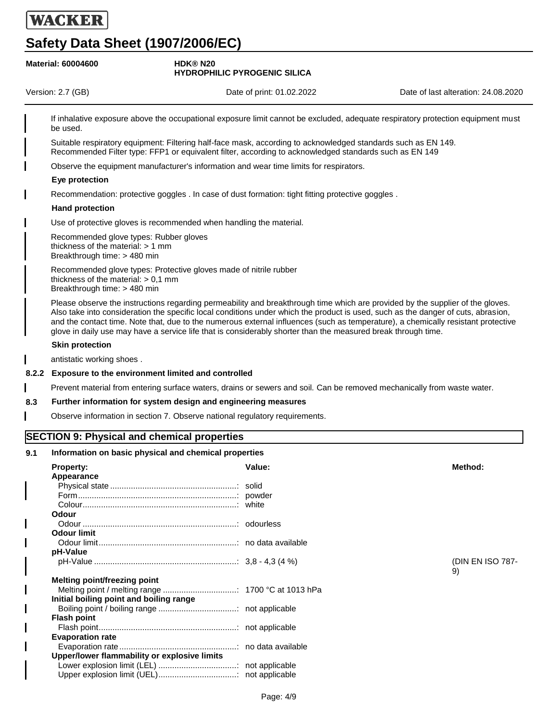**Melting point/freezing point**

**Flash point**

 $\overline{\phantom{a}}$ 

I

I  $\overline{\phantom{a}}$ 

**Evaporation rate**

**Initial boiling point and boiling range**

**Upper/lower flammability or explosive limits**

Melting point / melting range ................................: 1700 °C at 1013 hPa

Boiling point / boiling range ..................................: not applicable

Flash point............................................................: not applicable

Lower explosion limit (LEL) ..................................: not applicable Upper explosion limit (UEL)..................................: not applicable

Evaporation rate...................................................: no data available

|       | <b>Safety Data Sheet (1907/2006/EC)</b>                                                                                                    |                |                                                                                                                                                                                                                         |                                                                                                                                                                                                                                                                                                                                                                                                          |
|-------|--------------------------------------------------------------------------------------------------------------------------------------------|----------------|-------------------------------------------------------------------------------------------------------------------------------------------------------------------------------------------------------------------------|----------------------------------------------------------------------------------------------------------------------------------------------------------------------------------------------------------------------------------------------------------------------------------------------------------------------------------------------------------------------------------------------------------|
|       | <b>Material: 60004600</b>                                                                                                                  | <b>HDK®N20</b> | <b>HYDROPHILIC PYROGENIC SILICA</b>                                                                                                                                                                                     |                                                                                                                                                                                                                                                                                                                                                                                                          |
|       | Version: 2.7 (GB)                                                                                                                          |                | Date of print: 01.02.2022                                                                                                                                                                                               | Date of last alteration: 24.08.2020                                                                                                                                                                                                                                                                                                                                                                      |
|       | be used.                                                                                                                                   |                |                                                                                                                                                                                                                         | If inhalative exposure above the occupational exposure limit cannot be excluded, adequate respiratory protection equipment must                                                                                                                                                                                                                                                                          |
|       |                                                                                                                                            |                | Suitable respiratory equipment: Filtering half-face mask, according to acknowledged standards such as EN 149.<br>Recommended Filter type: FFP1 or equivalent filter, according to acknowledged standards such as EN 149 |                                                                                                                                                                                                                                                                                                                                                                                                          |
|       |                                                                                                                                            |                | Observe the equipment manufacturer's information and wear time limits for respirators.                                                                                                                                  |                                                                                                                                                                                                                                                                                                                                                                                                          |
|       | Eye protection                                                                                                                             |                |                                                                                                                                                                                                                         |                                                                                                                                                                                                                                                                                                                                                                                                          |
|       |                                                                                                                                            |                | Recommendation: protective goggles . In case of dust formation: tight fitting protective goggles .                                                                                                                      |                                                                                                                                                                                                                                                                                                                                                                                                          |
|       | <b>Hand protection</b>                                                                                                                     |                |                                                                                                                                                                                                                         |                                                                                                                                                                                                                                                                                                                                                                                                          |
|       | Use of protective gloves is recommended when handling the material.                                                                        |                |                                                                                                                                                                                                                         |                                                                                                                                                                                                                                                                                                                                                                                                          |
|       |                                                                                                                                            |                |                                                                                                                                                                                                                         |                                                                                                                                                                                                                                                                                                                                                                                                          |
|       | Recommended glove types: Rubber gloves<br>thickness of the material: > 1 mm<br>Breakthrough time: > 480 min                                |                |                                                                                                                                                                                                                         |                                                                                                                                                                                                                                                                                                                                                                                                          |
|       | Recommended glove types: Protective gloves made of nitrile rubber<br>thickness of the material: $> 0.1$ mm<br>Breakthrough time: > 480 min |                |                                                                                                                                                                                                                         |                                                                                                                                                                                                                                                                                                                                                                                                          |
|       |                                                                                                                                            |                | glove in daily use may have a service life that is considerably shorter than the measured break through time.                                                                                                           | Please observe the instructions regarding permeability and breakthrough time which are provided by the supplier of the gloves.<br>Also take into consideration the specific local conditions under which the product is used, such as the danger of cuts, abrasion,<br>and the contact time. Note that, due to the numerous external influences (such as temperature), a chemically resistant protective |
|       | <b>Skin protection</b>                                                                                                                     |                |                                                                                                                                                                                                                         |                                                                                                                                                                                                                                                                                                                                                                                                          |
|       | antistatic working shoes.                                                                                                                  |                |                                                                                                                                                                                                                         |                                                                                                                                                                                                                                                                                                                                                                                                          |
| 8.2.2 | Exposure to the environment limited and controlled                                                                                         |                |                                                                                                                                                                                                                         |                                                                                                                                                                                                                                                                                                                                                                                                          |
|       |                                                                                                                                            |                |                                                                                                                                                                                                                         | Prevent material from entering surface waters, drains or sewers and soil. Can be removed mechanically from waste water.                                                                                                                                                                                                                                                                                  |
| 8.3   | Further information for system design and engineering measures                                                                             |                |                                                                                                                                                                                                                         |                                                                                                                                                                                                                                                                                                                                                                                                          |
|       |                                                                                                                                            |                |                                                                                                                                                                                                                         |                                                                                                                                                                                                                                                                                                                                                                                                          |
|       | Observe information in section 7. Observe national regulatory requirements.                                                                |                |                                                                                                                                                                                                                         |                                                                                                                                                                                                                                                                                                                                                                                                          |
|       | <b>SECTION 9: Physical and chemical properties</b>                                                                                         |                |                                                                                                                                                                                                                         |                                                                                                                                                                                                                                                                                                                                                                                                          |
| 9.1   | Information on basic physical and chemical properties                                                                                      |                |                                                                                                                                                                                                                         |                                                                                                                                                                                                                                                                                                                                                                                                          |
|       | <b>Property:</b>                                                                                                                           |                | Value:                                                                                                                                                                                                                  | Method:                                                                                                                                                                                                                                                                                                                                                                                                  |
|       | Appearance                                                                                                                                 |                |                                                                                                                                                                                                                         |                                                                                                                                                                                                                                                                                                                                                                                                          |
|       |                                                                                                                                            |                |                                                                                                                                                                                                                         |                                                                                                                                                                                                                                                                                                                                                                                                          |
|       |                                                                                                                                            |                |                                                                                                                                                                                                                         |                                                                                                                                                                                                                                                                                                                                                                                                          |
|       |                                                                                                                                            |                |                                                                                                                                                                                                                         |                                                                                                                                                                                                                                                                                                                                                                                                          |
|       | <b>Odour</b>                                                                                                                               |                |                                                                                                                                                                                                                         |                                                                                                                                                                                                                                                                                                                                                                                                          |
|       |                                                                                                                                            |                |                                                                                                                                                                                                                         |                                                                                                                                                                                                                                                                                                                                                                                                          |
|       | <b>Odour limit</b>                                                                                                                         |                |                                                                                                                                                                                                                         |                                                                                                                                                                                                                                                                                                                                                                                                          |
|       | pH-Value                                                                                                                                   |                |                                                                                                                                                                                                                         |                                                                                                                                                                                                                                                                                                                                                                                                          |
|       |                                                                                                                                            |                |                                                                                                                                                                                                                         | (DIN EN ISO 787-<br>9)                                                                                                                                                                                                                                                                                                                                                                                   |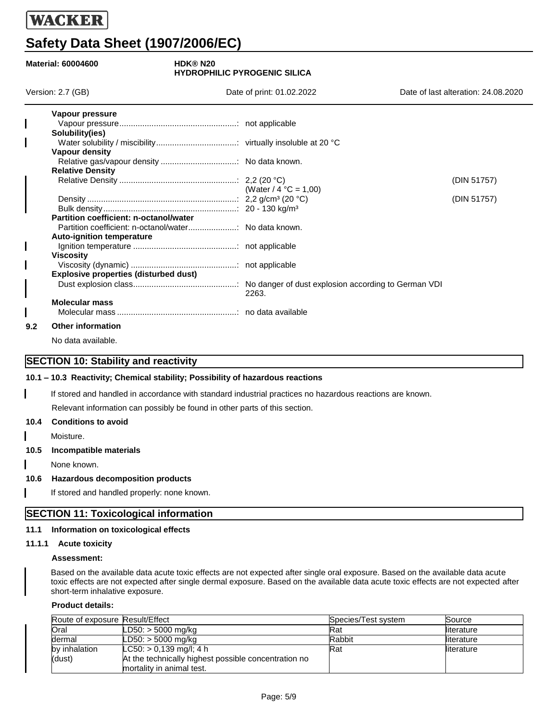# **Safety Data Sheet (1907/2006/EC)**

| <b>Material: 60004600</b><br><b>HDK®N20</b> |                                              | <b>HYDROPHILIC PYROGENIC SILICA</b> |                                     |
|---------------------------------------------|----------------------------------------------|-------------------------------------|-------------------------------------|
|                                             | Version: 2.7 (GB)                            | Date of print: 01.02.2022           | Date of last alteration: 24.08.2020 |
|                                             | Vapour pressure                              |                                     |                                     |
|                                             |                                              |                                     |                                     |
|                                             | Solubility(ies)                              |                                     |                                     |
|                                             | Vapour density                               |                                     |                                     |
|                                             |                                              |                                     |                                     |
|                                             | <b>Relative Density</b>                      |                                     |                                     |
|                                             |                                              |                                     | (DIN 51757)                         |
|                                             |                                              | (Water / 4 $^{\circ}$ C = 1,00)     |                                     |
|                                             |                                              |                                     | (DIN 51757)                         |
|                                             | Partition coefficient: n-octanol/water       |                                     |                                     |
|                                             |                                              |                                     |                                     |
|                                             |                                              |                                     |                                     |
|                                             | <b>Auto-ignition temperature</b>             |                                     |                                     |
|                                             |                                              |                                     |                                     |
|                                             | <b>Viscosity</b>                             |                                     |                                     |
|                                             |                                              |                                     |                                     |
|                                             | <b>Explosive properties (disturbed dust)</b> |                                     |                                     |
|                                             |                                              | 2263.                               |                                     |
|                                             | <b>Molecular mass</b>                        |                                     |                                     |
|                                             |                                              |                                     |                                     |
| 9.2                                         | <b>Other information</b>                     |                                     |                                     |

No data available.

### **SECTION 10: Stability and reactivity**

### **10.1 – 10.3 Reactivity; Chemical stability; Possibility of hazardous reactions**

**– 10.3** If stored and handled in accordance with standard industrial practices no hazardous reactions are known.

Relevant information can possibly be found in other parts of this section.

#### **10.4 Conditions to avoid**

Moisture.

**10.5 Incompatible materials**

None known.

### **10.6 Hazardous decomposition products**

If stored and handled properly: none known.

### **SECTION 11: Toxicological information**

### **11.1 Information on toxicological effects**

#### **11.1.1 Acute toxicity**

#### **Assessment:**

Based on the available data acute toxic effects are not expected after single oral exposure. Based on the available data acute toxic effects are not expected after single dermal exposure. Based on the available data acute toxic effects are not expected after short-term inhalative exposure.

### **Product details:**

| Route of exposure Result/Effect |                                                      | Species/Test system | Source      |
|---------------------------------|------------------------------------------------------|---------------------|-------------|
| Oral                            | $LD50:$ > 5000 mg/kg                                 | Rat                 | lliterature |
| dermal                          | $LD50:$ > 5000 mg/kg                                 | Rabbit              | lliterature |
| by inhalation                   | $LC50:$ > 0,139 mg/l; 4 h                            | Rat                 | lliterature |
| (dust)                          | At the technically highest possible concentration no |                     |             |
|                                 | mortality in animal test.                            |                     |             |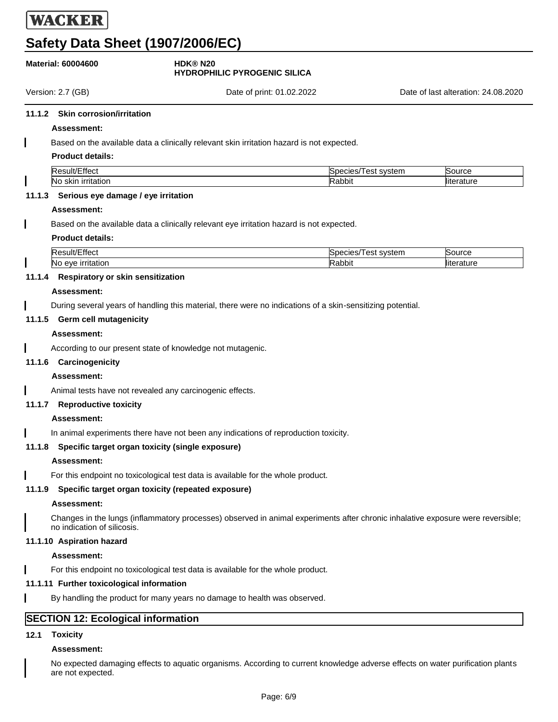# **Safety Data Sheet (1907/2006/EC)**

|      | <b>Material: 60004600</b>                  | <b>HDK®N20</b><br><b>HYDROPHILIC PYROGENIC SILICA</b>                                                                           |                     |                                     |
|------|--------------------------------------------|---------------------------------------------------------------------------------------------------------------------------------|---------------------|-------------------------------------|
|      | Version: 2.7 (GB)                          | Date of print: 01.02.2022                                                                                                       |                     | Date of last alteration: 24.08.2020 |
|      | 11.1.2 Skin corrosion/irritation           |                                                                                                                                 |                     |                                     |
|      | <b>Assessment:</b>                         |                                                                                                                                 |                     |                                     |
|      |                                            | Based on the available data a clinically relevant skin irritation hazard is not expected.                                       |                     |                                     |
|      | <b>Product details:</b>                    |                                                                                                                                 |                     |                                     |
|      | Result/Effect                              |                                                                                                                                 | Species/Test system | Source                              |
|      | No skin irritation                         |                                                                                                                                 | Rabbit              | literature                          |
|      | 11.1.3 Serious eye damage / eye irritation |                                                                                                                                 |                     |                                     |
|      | <b>Assessment:</b>                         |                                                                                                                                 |                     |                                     |
|      |                                            | Based on the available data a clinically relevant eye irritation hazard is not expected.                                        |                     |                                     |
|      | <b>Product details:</b>                    |                                                                                                                                 |                     |                                     |
|      | Result/Effect                              |                                                                                                                                 | Species/Test system | Source                              |
|      | No eye irritation                          |                                                                                                                                 | Rabbit              | literature                          |
|      | 11.1.4 Respiratory or skin sensitization   |                                                                                                                                 |                     |                                     |
|      | <b>Assessment:</b>                         |                                                                                                                                 |                     |                                     |
|      |                                            | During several years of handling this material, there were no indications of a skin-sensitizing potential.                      |                     |                                     |
|      | 11.1.5 Germ cell mutagenicity              |                                                                                                                                 |                     |                                     |
|      | <b>Assessment:</b>                         |                                                                                                                                 |                     |                                     |
|      |                                            | According to our present state of knowledge not mutagenic.                                                                      |                     |                                     |
|      | 11.1.6 Carcinogenicity                     |                                                                                                                                 |                     |                                     |
|      | <b>Assessment:</b>                         |                                                                                                                                 |                     |                                     |
|      |                                            | Animal tests have not revealed any carcinogenic effects.                                                                        |                     |                                     |
|      | 11.1.7 Reproductive toxicity               |                                                                                                                                 |                     |                                     |
|      | Assessment:                                |                                                                                                                                 |                     |                                     |
|      |                                            | In animal experiments there have not been any indications of reproduction toxicity.                                             |                     |                                     |
|      |                                            | 11.1.8 Specific target organ toxicity (single exposure)                                                                         |                     |                                     |
|      | Assessment:                                |                                                                                                                                 |                     |                                     |
|      |                                            | For this endpoint no toxicological test data is available for the whole product.                                                |                     |                                     |
|      |                                            | 11.1.9 Specific target organ toxicity (repeated exposure)                                                                       |                     |                                     |
|      | Assessment:                                |                                                                                                                                 |                     |                                     |
|      | no indication of silicosis.                | Changes in the lungs (inflammatory processes) observed in animal experiments after chronic inhalative exposure were reversible; |                     |                                     |
|      | 11.1.10 Aspiration hazard                  |                                                                                                                                 |                     |                                     |
|      | Assessment:                                |                                                                                                                                 |                     |                                     |
|      |                                            | For this endpoint no toxicological test data is available for the whole product.                                                |                     |                                     |
|      | 11.1.11 Further toxicological information  |                                                                                                                                 |                     |                                     |
|      |                                            | By handling the product for many years no damage to health was observed.                                                        |                     |                                     |
|      |                                            |                                                                                                                                 |                     |                                     |
|      | <b>SECTION 12: Ecological information</b>  |                                                                                                                                 |                     |                                     |
| 12.1 | <b>Toxicity</b>                            |                                                                                                                                 |                     |                                     |

### **Assessment:**

No expected damaging effects to aquatic organisms. According to current knowledge adverse effects on water purification plants are not expected.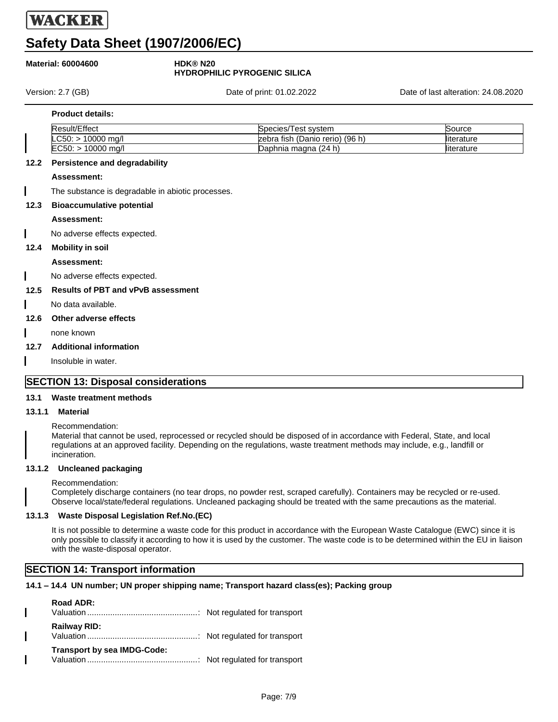# **Safety Data Sheet (1907/2006/EC)**

### **Material: 60004600 HDK® N20**

# **HYDROPHILIC PYROGENIC SILICA**

Version: 2.7 (GB) Date of print: 01.02.2022 Date of last alteration: 24.08.2020

### **Product details:**

| <b>E</b> ffect<br>Result. | l est svstem<br>Species/                | Source      |
|---------------------------|-----------------------------------------|-------------|
| $C_F$<br>'0000 ma/l       | (96 h)<br>ı fish (Danio rerio)<br>zebra | lliterature |
| ECEC<br>10000 ma/l        | Daphnia magna (24 h)                    | lliterature |

### **12.2 Persistence and degradability**

### **Assessment:**

The substance is degradable in abiotic processes.

### **12.3 Bioaccumulative potential**

### **Assessment:**

No adverse effects expected.

### **12.4 Mobility in soil**

### **Assessment:**

No adverse effects expected.

### **12.5 Results of PBT and vPvB assessment**

No data available.

### **12.6 Other adverse effects**

none known

### **12.7 Additional information**

Insoluble in water.

### **SECTION 13: Disposal considerations**

### **13.1 Waste treatment methods**

### **13.1.1 Material**

Recommendation:

Material that cannot be used, reprocessed or recycled should be disposed of in accordance with Federal, State, and local regulations at an approved facility. Depending on the regulations, waste treatment methods may include, e.g., landfill or incineration.

### **13.1.2 Uncleaned packaging**

Recommendation:

Completely discharge containers (no tear drops, no powder rest, scraped carefully). Containers may be recycled or re-used. Observe local/state/federal regulations. Uncleaned packaging should be treated with the same precautions as the material.

### **13.1.3 Waste Disposal Legislation Ref.No.(EC)**

It is not possible to determine a waste code for this product in accordance with the European Waste Catalogue (EWC) since it is only possible to classify it according to how it is used by the customer. The waste code is to be determined within the EU in liaison with the waste-disposal operator.

### **SECTION 14: Transport information**

### **14.1 – 14.4 UN number; UN proper shipping name; Transport hazard class(es); Packing group**

| Road ADR:                          |  |
|------------------------------------|--|
| <b>Railway RID:</b>                |  |
| <b>Transport by sea IMDG-Code:</b> |  |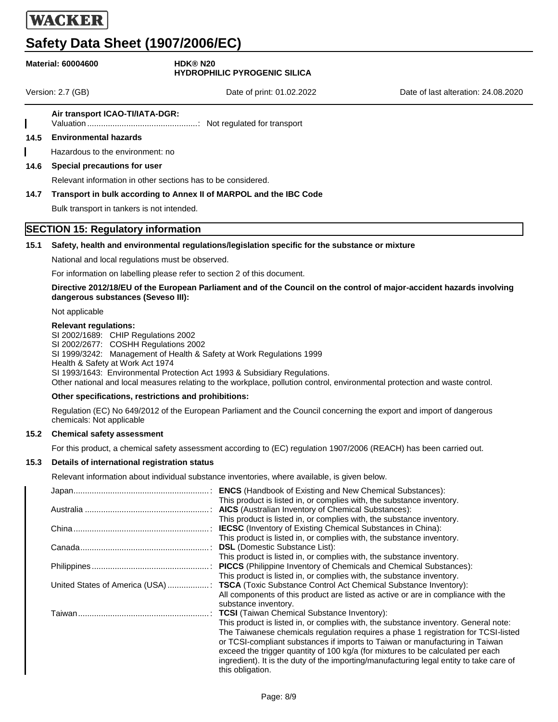# **Safety Data Sheet (1907/2006/EC)**

### **Material: 60004600 HDK® N20**

# **HYDROPHILIC PYROGENIC SILICA**

Version: 2.7 (GB) Date of print: 01.02.2022 Date of last alteration: 24.08.2020

### **Air transport ICAO-TI/IATA-DGR:**

Valuation ................................................: Not regulated for transport

### **14.5 Environmental hazards**

Hazardous to the environment: no

#### **14.6 Special precautions for user**

Relevant information in other sections has to be considered.

#### **14.7 Transport in bulk according to Annex II of MARPOL and the IBC Code**

Bulk transport in tankers is not intended.

### **SECTION 15: Regulatory information**

#### **15.1 Safety, health and environmental regulations/legislation specific for the substance or mixture**

National and local regulations must be observed.

For information on labelling please refer to section 2 of this document.

#### **Directive 2012/18/EU of the European Parliament and of the Council on the control of major-accident hazards involving dangerous substances (Seveso III):**

Not applicable

#### **Relevant regulations:**

SI 2002/1689: CHIP Regulations 2002 SI 2002/2677: COSHH Regulations 2002 SI 1999/3242: Management of Health & Safety at Work Regulations 1999 Health & Safety at Work Act 1974 SI 1993/1643: Environmental Protection Act 1993 & Subsidiary Regulations. Other national and local measures relating to the workplace, pollution control, environmental protection and waste control.

### **Other specifications, restrictions and prohibitions:**

Regulation (EC) No 649/2012 of the European Parliament and the Council concerning the export and import of dangerous chemicals: Not applicable

### **15.2 Chemical safety assessment**

For this product, a chemical safety assessment according to (EC) regulation 1907/2006 (REACH) has been carried out.

### **15.3 Details of international registration status**

Relevant information about individual substance inventories, where available, is given below.

| <b>ENCS</b> (Handbook of Existing and New Chemical Substances):                                             |
|-------------------------------------------------------------------------------------------------------------|
| This product is listed in, or complies with, the substance inventory.                                       |
|                                                                                                             |
| This product is listed in, or complies with, the substance inventory.                                       |
| <b>IECSC</b> (Inventory of Existing Chemical Substances in China):                                          |
| This product is listed in, or complies with, the substance inventory.                                       |
|                                                                                                             |
| This product is listed in, or complies with, the substance inventory.                                       |
|                                                                                                             |
| This product is listed in, or complies with, the substance inventory.                                       |
| United States of America (USA)  TSCA (Toxic Substance Control Act Chemical Substance Inventory):            |
| All components of this product are listed as active or are in compliance with the                           |
| substance inventory.                                                                                        |
|                                                                                                             |
| This product is listed in, or complies with, the substance inventory. General note:                         |
| The Taiwanese chemicals regulation requires a phase 1 registration for TCSI-listed                          |
| or TCSI-compliant substances if imports to Taiwan or manufacturing in Taiwan                                |
| exceed the trigger quantity of 100 kg/a (for mixtures to be calculated per each                             |
| ingredient). It is the duty of the importing/manufacturing legal entity to take care of<br>this obligation. |